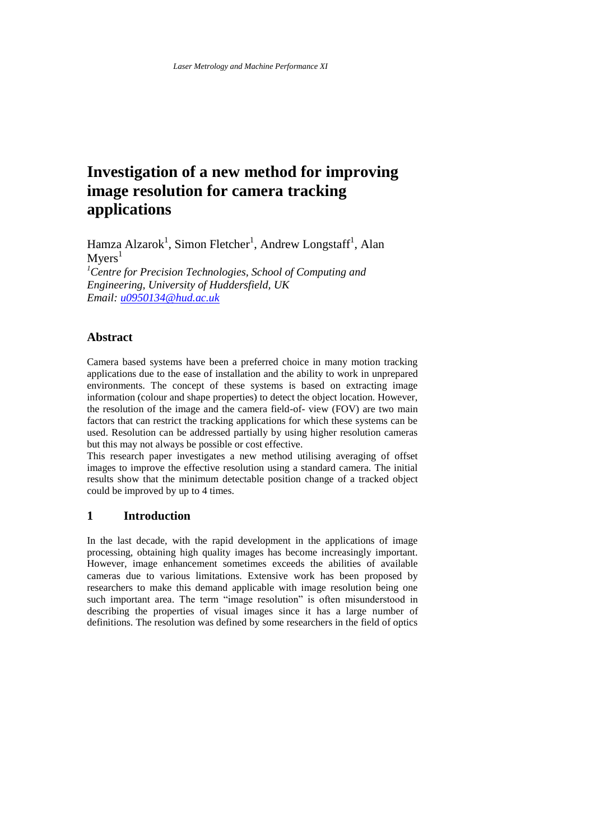# **Investigation of a new method for improving image resolution for camera tracking applications**

Hamza Alzarok<sup>1</sup>, Simon Fletcher<sup>1</sup>, Andrew Longstaff<sup>1</sup>, Alan  $Mvers<sup>1</sup>$ 

*<sup>1</sup>Centre for Precision Technologies, School of Computing and Engineering, University of Huddersfield, UK Email[: u0950134@hud.ac.uk](mailto:u0950134@hud.ac.uk)*

#### **Abstract**

Camera based systems have been a preferred choice in many motion tracking applications due to the ease of installation and the ability to work in unprepared environments. The concept of these systems is based on extracting image information (colour and shape properties) to detect the object location. However, the resolution of the image and the camera field-of- view (FOV) are two main factors that can restrict the tracking applications for which these systems can be used. Resolution can be addressed partially by using higher resolution cameras but this may not always be possible or cost effective.

This research paper investigates a new method utilising averaging of offset images to improve the effective resolution using a standard camera. The initial results show that the minimum detectable position change of a tracked object could be improved by up to 4 times.

#### **1 Introduction**

In the last decade, with the rapid development in the applications of image processing, obtaining high quality images has become increasingly important. However, image enhancement sometimes exceeds the abilities of available cameras due to various limitations. Extensive work has been proposed by researchers to make this demand applicable with image resolution being one such important area. The term "image resolution" is often misunderstood in describing the properties of visual images since it has a large number of definitions. The resolution was defined by some researchers in the field of optics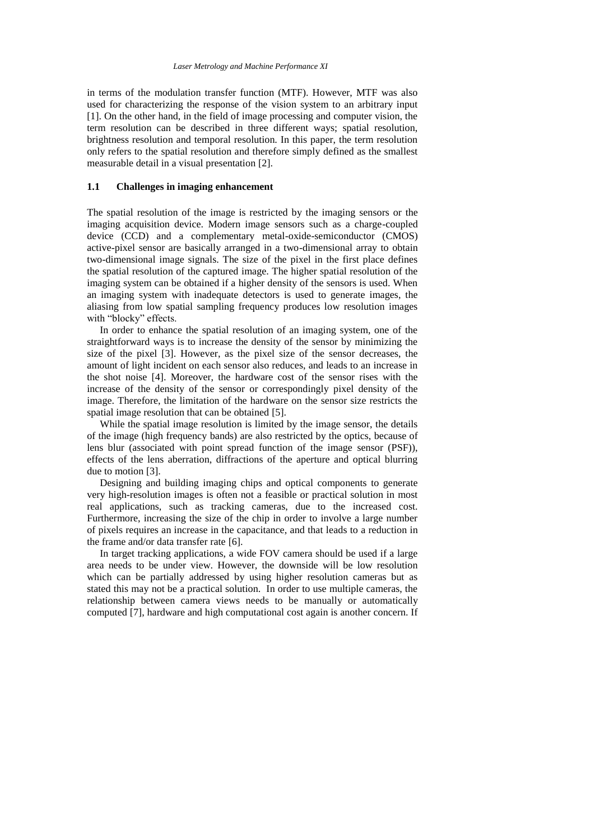in terms of the modulation transfer function (MTF). However, MTF was also used for characterizing the response of the vision system to an arbitrary input [\[1\]](#page-9-0). On the other hand, in the field of image processing and computer vision, the term resolution can be described in three different ways; spatial resolution, brightness resolution and temporal resolution. In this paper, the term resolution only refers to the spatial resolution and therefore simply defined as the smallest measurable detail in a visual presentation [\[2\]](#page-9-1).

#### **1.1 Challenges in imaging enhancement**

The spatial resolution of the image is restricted by the imaging sensors or the imaging acquisition device. Modern image sensors such as a charge-coupled device (CCD) and a complementary metal-oxide-semiconductor (CMOS) active-pixel sensor are basically arranged in a two-dimensional array to obtain two-dimensional image signals. The size of the pixel in the first place defines the spatial resolution of the captured image. The higher spatial resolution of the imaging system can be obtained if a higher density of the sensors is used. When an imaging system with inadequate detectors is used to generate images, the aliasing from low spatial sampling frequency produces low resolution images with "blocky" effects.

 In order to enhance the spatial resolution of an imaging system, one of the straightforward ways is to increase the density of the sensor by minimizing the size of the pixel [\[3\]](#page-9-2). However, as the pixel size of the sensor decreases, the amount of light incident on each sensor also reduces, and leads to an increase in the shot noise [\[4\]](#page-9-3). Moreover, the hardware cost of the sensor rises with the increase of the density of the sensor or correspondingly pixel density of the image. Therefore, the limitation of the hardware on the sensor size restricts the spatial image resolution that can be obtained [\[5\]](#page-9-4).

 While the spatial image resolution is limited by the image sensor, the details of the image (high frequency bands) are also restricted by the optics, because of lens blur (associated with point spread function of the image sensor (PSF)), effects of the lens aberration, diffractions of the aperture and optical blurring due to motion [\[3\]](#page-9-2).

 Designing and building imaging chips and optical components to generate very high-resolution images is often not a feasible or practical solution in most real applications, such as tracking cameras, due to the increased cost. Furthermore, increasing the size of the chip in order to involve a large number of pixels requires an increase in the capacitance, and that leads to a reduction in the frame and/or data transfer rate [\[6\]](#page-9-5).

 In target tracking applications, a wide FOV camera should be used if a large area needs to be under view. However, the downside will be low resolution which can be partially addressed by using higher resolution cameras but as stated this may not be a practical solution. In order to use multiple cameras, the relationship between camera views needs to be manually or automatically computed [\[7\]](#page-9-6), hardware and high computational cost again is another concern. If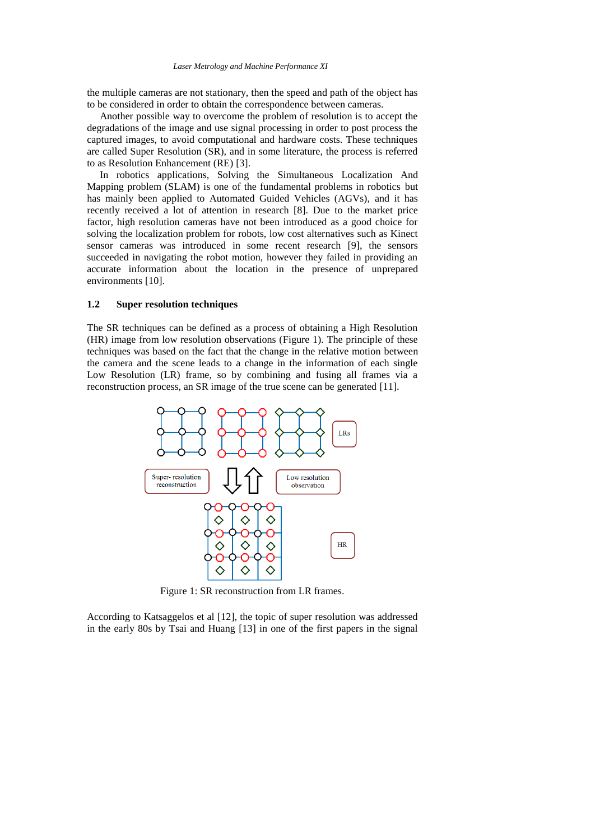the multiple cameras are not stationary, then the speed and path of the object has to be considered in order to obtain the correspondence between cameras.

 Another possible way to overcome the problem of resolution is to accept the degradations of the image and use signal processing in order to post process the captured images, to avoid computational and hardware costs. These techniques are called Super Resolution (SR), and in some literature, the process is referred to as Resolution Enhancement (RE) [\[3\]](#page-9-2).

 In robotics applications, Solving the Simultaneous Localization And Mapping problem (SLAM) is one of the fundamental problems in robotics but has mainly been applied to Automated Guided Vehicles (AGVs), and it has recently received a lot of attention in research [\[8\]](#page-9-7). Due to the market price factor, high resolution cameras have not been introduced as a good choice for solving the localization problem for robots, low cost alternatives such as Kinect sensor cameras was introduced in some recent research [\[9\]](#page-9-8), the sensors succeeded in navigating the robot motion, however they failed in providing an accurate information about the location in the presence of unprepared environments [\[10\]](#page-9-9).

#### **1.2 Super resolution techniques**

The SR techniques can be defined as a process of obtaining a High Resolution (HR) image from low resolution observations [\(Figure 1\)](#page-2-0). The principle of these techniques was based on the fact that the change in the relative motion between the camera and the scene leads to a change in the information of each single Low Resolution (LR) frame, so by combining and fusing all frames via a reconstruction process, an SR image of the true scene can be generated [\[11\]](#page-9-10).



Figure 1: SR reconstruction from LR frames.

<span id="page-2-0"></span>According to Katsaggelos et al [\[12\]](#page-9-11), the topic of super resolution was addressed in the early 80s by Tsai and Huang [\[13\]](#page-9-12) in one of the first papers in the signal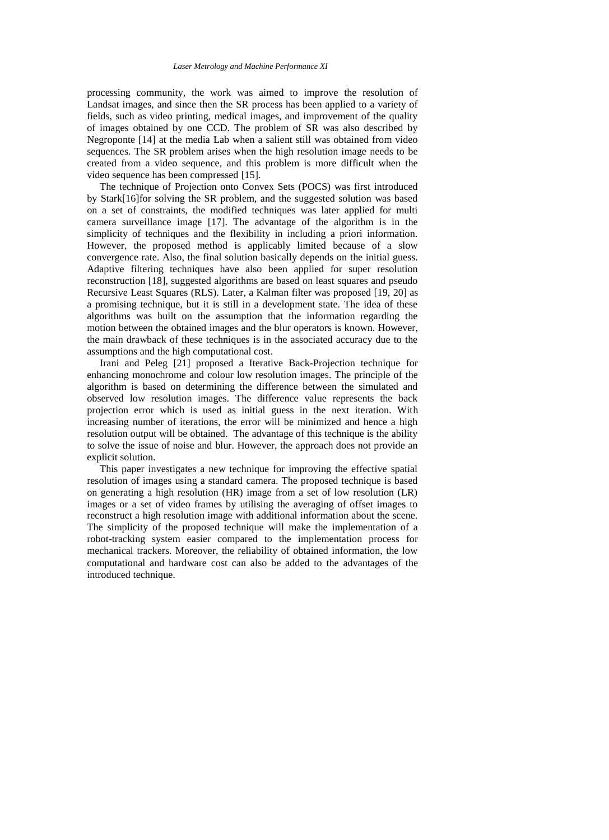processing community, the work was aimed to improve the resolution of Landsat images, and since then the SR process has been applied to a variety of fields, such as video printing, medical images, and improvement of the quality of images obtained by one CCD. The problem of SR was also described by Negroponte [\[14\]](#page-9-13) at the media Lab when a salient still was obtained from video sequences. The SR problem arises when the high resolution image needs to be created from a video sequence, and this problem is more difficult when the video sequence has been compressed [\[15\]](#page-9-14).

 The technique of Projection onto Convex Sets (POCS) was first introduced by Stark[\[16\]](#page-9-15)for solving the SR problem, and the suggested solution was based on a set of constraints, the modified techniques was later applied for multi camera surveillance image [\[17\]](#page-9-16). The advantage of the algorithm is in the simplicity of techniques and the flexibility in including a priori information. However, the proposed method is applicably limited because of a slow convergence rate. Also, the final solution basically depends on the initial guess. Adaptive filtering techniques have also been applied for super resolution reconstruction [\[18\]](#page-10-0), suggested algorithms are based on least squares and pseudo Recursive Least Squares (RLS). Later, a Kalman filter was proposed [\[19,](#page-10-1) [20\]](#page-10-2) as a promising technique, but it is still in a development state. The idea of these algorithms was built on the assumption that the information regarding the motion between the obtained images and the blur operators is known. However, the main drawback of these techniques is in the associated accuracy due to the assumptions and the high computational cost.

 Irani and Peleg [\[21\]](#page-10-3) proposed a Iterative Back-Projection technique for enhancing monochrome and colour low resolution images. The principle of the algorithm is based on determining the difference between the simulated and observed low resolution images. The difference value represents the back projection error which is used as initial guess in the next iteration. With increasing number of iterations, the error will be minimized and hence a high resolution output will be obtained. The advantage of this technique is the ability to solve the issue of noise and blur. However, the approach does not provide an explicit solution.

 This paper investigates a new technique for improving the effective spatial resolution of images using a standard camera. The proposed technique is based on generating a high resolution (HR) image from a set of low resolution (LR) images or a set of video frames by utilising the averaging of offset images to reconstruct a high resolution image with additional information about the scene. The simplicity of the proposed technique will make the implementation of a robot-tracking system easier compared to the implementation process for mechanical trackers. Moreover, the reliability of obtained information, the low computational and hardware cost can also be added to the advantages of the introduced technique.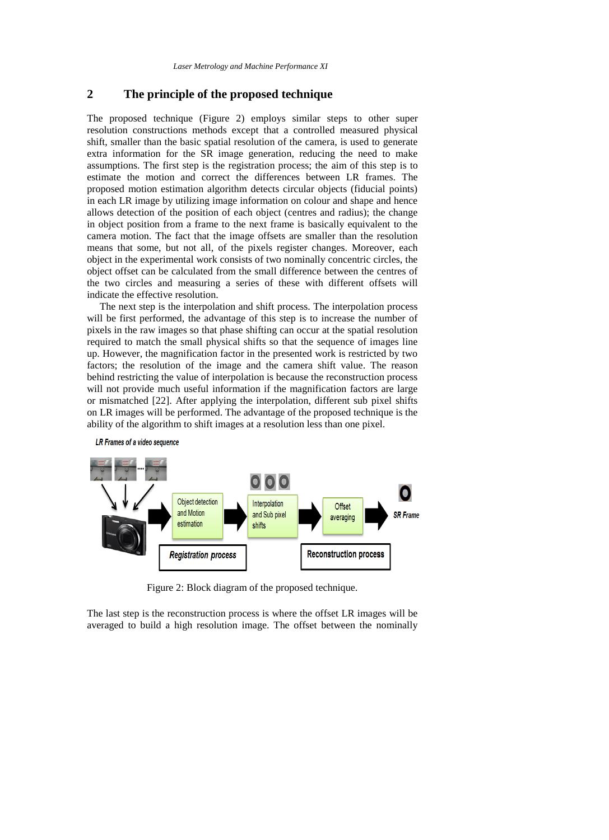## **2 The principle of the proposed technique**

The proposed technique [\(Figure 2\)](#page-4-0) employs similar steps to other super resolution constructions methods except that a controlled measured physical shift, smaller than the basic spatial resolution of the camera, is used to generate extra information for the SR image generation, reducing the need to make assumptions. The first step is the registration process; the aim of this step is to estimate the motion and correct the differences between LR frames. The proposed motion estimation algorithm detects circular objects (fiducial points) in each LR image by utilizing image information on colour and shape and hence allows detection of the position of each object (centres and radius); the change in object position from a frame to the next frame is basically equivalent to the camera motion. The fact that the image offsets are smaller than the resolution means that some, but not all, of the pixels register changes. Moreover, each object in the experimental work consists of two nominally concentric circles, the object offset can be calculated from the small difference between the centres of the two circles and measuring a series of these with different offsets will indicate the effective resolution.

 The next step is the interpolation and shift process. The interpolation process will be first performed, the advantage of this step is to increase the number of pixels in the raw images so that phase shifting can occur at the spatial resolution required to match the small physical shifts so that the sequence of images line up. However, the magnification factor in the presented work is restricted by two factors; the resolution of the image and the camera shift value. The reason behind restricting the value of interpolation is because the reconstruction process will not provide much useful information if the magnification factors are large or mismatched [\[22\]](#page-10-4). After applying the interpolation, different sub pixel shifts on LR images will be performed. The advantage of the proposed technique is the ability of the algorithm to shift images at a resolution less than one pixel.





Figure 2: Block diagram of the proposed technique.

<span id="page-4-0"></span>The last step is the reconstruction process is where the offset LR images will be averaged to build a high resolution image. The offset between the nominally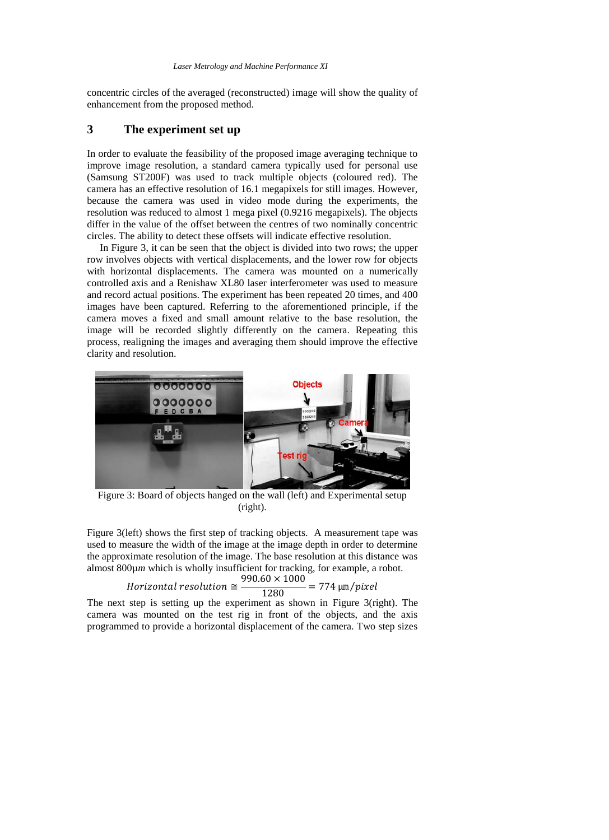concentric circles of the averaged (reconstructed) image will show the quality of enhancement from the proposed method.

#### **3 The experiment set up**

In order to evaluate the feasibility of the proposed image averaging technique to improve image resolution, a standard camera typically used for personal use (Samsung ST200F) was used to track multiple objects (coloured red). The camera has an effective resolution of 16.1 megapixels for still images. However, because the camera was used in video mode during the experiments, the resolution was reduced to almost 1 mega pixel (0.9216 megapixels). The objects differ in the value of the offset between the centres of two nominally concentric circles. The ability to detect these offsets will indicate effective resolution.

 In [Figure 3,](#page-5-0) it can be seen that the object is divided into two rows; the upper row involves objects with vertical displacements, and the lower row for objects with horizontal displacements. The camera was mounted on a numerically controlled axis and a Renishaw XL80 laser interferometer was used to measure and record actual positions. The experiment has been repeated 20 times, and 400 images have been captured. Referring to the aforementioned principle, if the camera moves a fixed and small amount relative to the base resolution, the image will be recorded slightly differently on the camera. Repeating this process, realigning the images and averaging them should improve the effective clarity and resolution.



Figure 3: Board of objects hanged on the wall (left) and Experimental setup (right).

<span id="page-5-0"></span>[Figure 3\(](#page-5-0)left) shows the first step of tracking objects. A measurement tape was used to measure the width of the image at the image depth in order to determine the approximate resolution of the image. The base resolution at this distance was almost 800µ*m* which is wholly insufficient for tracking, for example, a robot.

$$
Horizontal\ resolution \cong \frac{990.60 \times 1000}{1280} = 774 \ \mu \text{m/pixel}
$$

The next step is setting up the experiment as shown in [Figure 3\(](#page-5-0)right). The camera was mounted on the test rig in front of the objects, and the axis programmed to provide a horizontal displacement of the camera. Two step sizes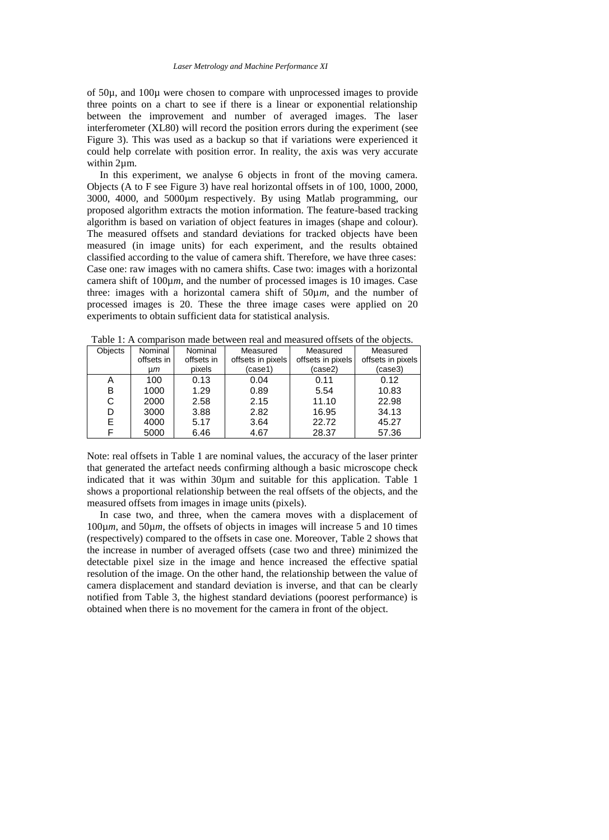of 50µ, and 100µ were chosen to compare with unprocessed images to provide three points on a chart to see if there is a linear or exponential relationship between the improvement and number of averaged images. The laser interferometer (XL80) will record the position errors during the experiment (see [Figure 3\)](#page-5-0). This was used as a backup so that if variations were experienced it could help correlate with position error. In reality, the axis was very accurate within 2µm.

 In this experiment, we analyse 6 objects in front of the moving camera. Objects (A to F see [Figure 3\)](#page-5-0) have real horizontal offsets in of 100, 1000, 2000, 3000, 4000, and 5000µm respectively. By using Matlab programming, our proposed algorithm extracts the motion information. The feature-based tracking algorithm is based on variation of object features in images (shape and colour). The measured offsets and standard deviations for tracked objects have been measured (in image units) for each experiment, and the results obtained classified according to the value of camera shift. Therefore, we have three cases: Case one: raw images with no camera shifts. Case two: images with a horizontal camera shift of 100µ*m*, and the number of processed images is 10 images. Case three: images with a horizontal camera shift of  $50\mu m$ , and the number of processed images is 20. These the three image cases were applied on 20 experiments to obtain sufficient data for statistical analysis.

| <b>Objects</b> | Nominal    | Nominal    | Measured          | Measured          | Measured          |  |
|----------------|------------|------------|-------------------|-------------------|-------------------|--|
|                | offsets in | offsets in | offsets in pixels | offsets in pixels | offsets in pixels |  |
|                | um         | pixels     | (case1)           | (case2)           | (case3)           |  |
| А              | 100        | 0.13       | 0.04              | 0.11              | 0.12              |  |
| в              | 1000       | 1.29       | 0.89              | 5.54              | 10.83             |  |
| C              | 2000       | 2.58       | 2.15              | 11.10             | 22.98             |  |
| D              | 3000       | 3.88       | 2.82              | 16.95             | 34.13             |  |
| E.             | 4000       | 5.17       | 3.64              | 22.72             | 45.27             |  |
|                | 5000       | 6.46       | 4.67              | 28.37             | 57.36             |  |

<span id="page-6-0"></span>Table 1: A comparison made between real and measured offsets of the objects.

Note: real offsets in [Table 1](#page-6-0) are nominal values, the accuracy of the laser printer that generated the artefact needs confirming although a basic microscope check indicated that it was within 30µm and suitable for this application. [Table 1](#page-6-0) shows a proportional relationship between the real offsets of the objects, and the measured offsets from images in image units (pixels).

 In case two, and three, when the camera moves with a displacement of 100µ*m*, and 50µ*m*, the offsets of objects in images will increase 5 and 10 times (respectively) compared to the offsets in case one. Moreover, [Table 2](#page-7-0) shows that the increase in number of averaged offsets (case two and three) minimized the detectable pixel size in the image and hence increased the effective spatial resolution of the image. On the other hand, the relationship between the value of camera displacement and standard deviation is inverse, and that can be clearly notified from [Table](#page-7-1) 3, the highest standard deviations (poorest performance) is obtained when there is no movement for the camera in front of the object.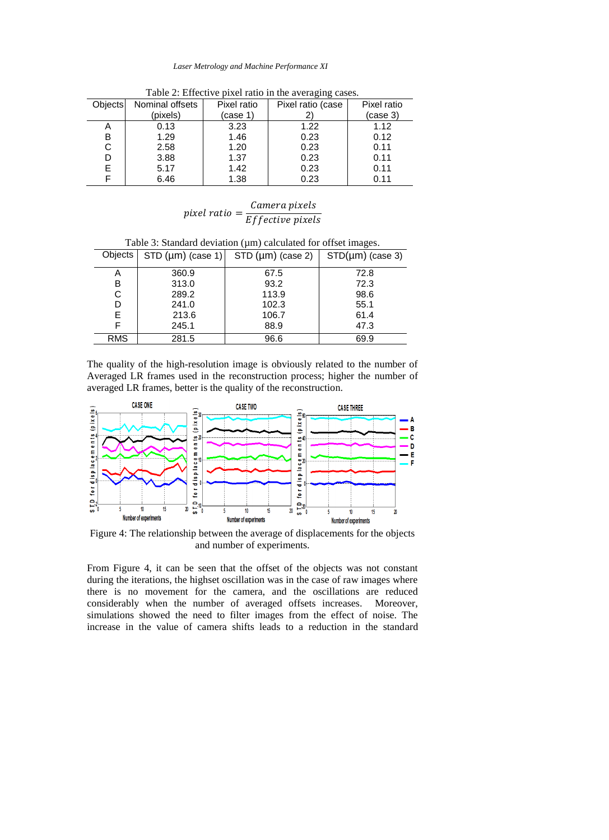#### *Laser Metrology and Machine Performance XI*

<span id="page-7-0"></span>

| <b>Objects</b> | Nominal offsets | Pixel ratio | Pixel ratio (case | Pixel ratio |
|----------------|-----------------|-------------|-------------------|-------------|
|                | (pixels)        | (case 1)    |                   | (case 3)    |
| Α              | 0.13            | 3.23        | 1.22              | 1.12        |
| в              | 1.29            | 1.46        | 0.23              | 0.12        |
| С              | 2.58            | 1.20        | 0.23              | 0.11        |
| D              | 3.88            | 1.37        | 0.23              | 0.11        |
| E              | 5.17            | 1.42        | 0.23              | 0.11        |
|                | 6.46            | 1.38        | 0.23              | 0.11        |
|                |                 |             |                   |             |

Table 2: Effective pixel ratio in the averaging cases.

## pixel ratio =  $\frac{Camera\ pixels}{Fff_{ext}}$ Effective pixels

<span id="page-7-1"></span>Table 3: Standard deviation (µm) calculated for offset images.

| Objects $\vert$ STD ( $\vert \mu m$ ) (case 1) $\vert$ STD ( $\vert \mu m$ ) (case 2) $\vert$ |       |       | $STD(\mu m)$ (case 3) |  |
|-----------------------------------------------------------------------------------------------|-------|-------|-----------------------|--|
| A                                                                                             | 360.9 | 67.5  | 72.8                  |  |
| B                                                                                             | 313.0 | 93.2  | 72.3                  |  |
| С                                                                                             | 289.2 | 113.9 | 98.6                  |  |
| D                                                                                             | 241.0 | 102.3 | 55.1                  |  |
| E.                                                                                            | 213.6 | 106.7 | 61.4                  |  |
| F                                                                                             | 245.1 | 88.9  | 47.3                  |  |
| <b>RMS</b>                                                                                    | 281.5 | 96.6  | 69.9                  |  |

The quality of the high-resolution image is obviously related to the number of Averaged LR frames used in the reconstruction process; higher the number of averaged LR frames, better is the quality of the reconstruction.



<span id="page-7-2"></span>Figure 4: The relationship between the average of displacements for the objects and number of experiments.

From [Figure 4,](#page-7-2) it can be seen that the offset of the objects was not constant during the iterations, the highset oscillation was in the case of raw images where there is no movement for the camera, and the oscillations are reduced considerably when the number of averaged offsets increases. Moreover, simulations showed the need to filter images from the effect of noise. The increase in the value of camera shifts leads to a reduction in the standard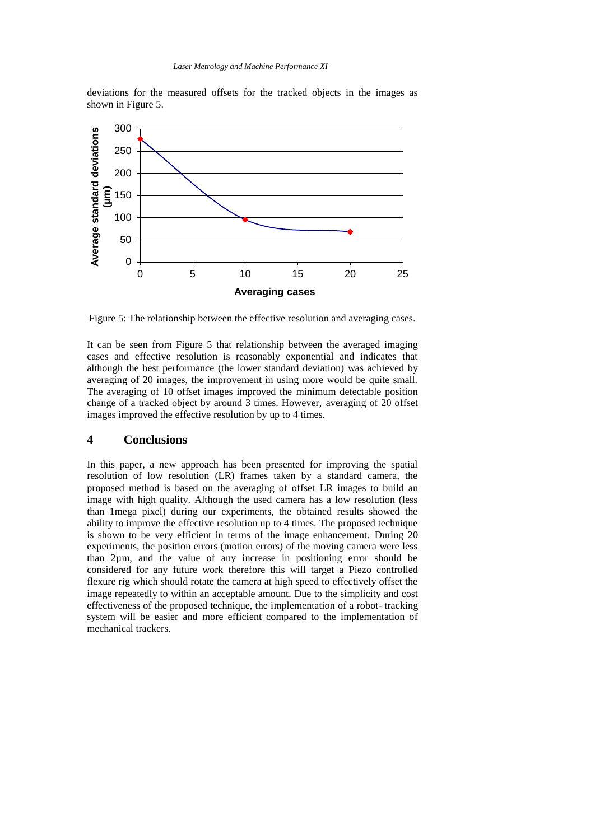deviations for the measured offsets for the tracked objects in the images as shown in [Figure 5.](#page-8-0)



<span id="page-8-0"></span>Figure 5: The relationship between the effective resolution and averaging cases.

It can be seen from [Figure 5](#page-8-0) that relationship between the averaged imaging cases and effective resolution is reasonably exponential and indicates that although the best performance (the lower standard deviation) was achieved by averaging of 20 images, the improvement in using more would be quite small. The averaging of 10 offset images improved the minimum detectable position change of a tracked object by around 3 times. However, averaging of 20 offset images improved the effective resolution by up to 4 times.

#### **4 Conclusions**

In this paper, a new approach has been presented for improving the spatial resolution of low resolution (LR) frames taken by a standard camera, the proposed method is based on the averaging of offset LR images to build an image with high quality. Although the used camera has a low resolution (less than 1mega pixel) during our experiments, the obtained results showed the ability to improve the effective resolution up to 4 times. The proposed technique is shown to be very efficient in terms of the image enhancement. During 20 experiments, the position errors (motion errors) of the moving camera were less than 2µm, and the value of any increase in positioning error should be considered for any future work therefore this will target a Piezo controlled flexure rig which should rotate the camera at high speed to effectively offset the image repeatedly to within an acceptable amount. Due to the simplicity and cost effectiveness of the proposed technique, the implementation of a robot- tracking system will be easier and more efficient compared to the implementation of mechanical trackers.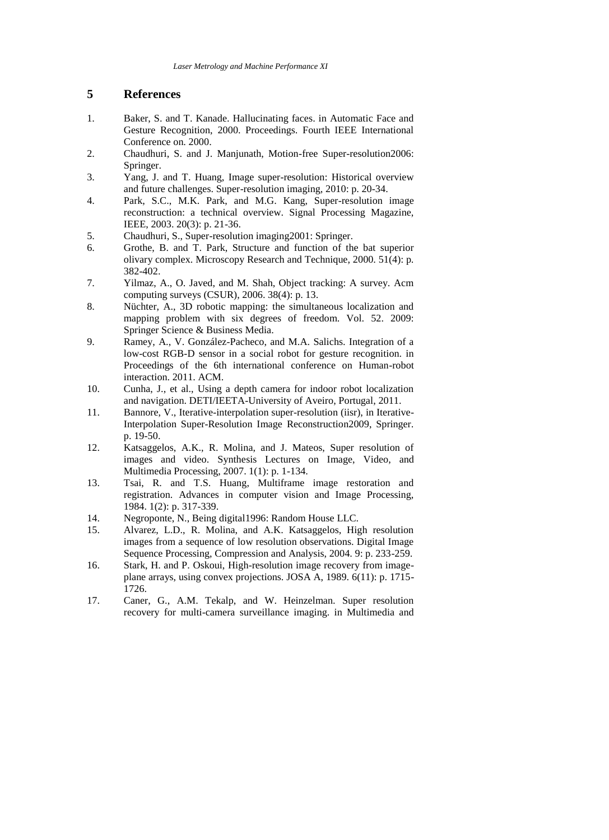## **5 References**

- <span id="page-9-0"></span>1. Baker, S. and T. Kanade. Hallucinating faces. in Automatic Face and Gesture Recognition, 2000. Proceedings. Fourth IEEE International Conference on. 2000.
- <span id="page-9-1"></span>2. Chaudhuri, S. and J. Manjunath, Motion-free Super-resolution2006: Springer.
- <span id="page-9-2"></span>3. Yang, J. and T. Huang, Image super-resolution: Historical overview and future challenges. Super-resolution imaging, 2010: p. 20-34.
- <span id="page-9-3"></span>4. Park, S.C., M.K. Park, and M.G. Kang, Super-resolution image reconstruction: a technical overview. Signal Processing Magazine, IEEE, 2003. 20(3): p. 21-36.
- <span id="page-9-4"></span>5. Chaudhuri, S., Super-resolution imaging2001: Springer.
- <span id="page-9-5"></span>6. Grothe, B. and T. Park, Structure and function of the bat superior olivary complex. Microscopy Research and Technique, 2000.  $51(4)$ : p. 382-402.
- <span id="page-9-6"></span>7. Yilmaz, A., O. Javed, and M. Shah, Object tracking: A survey. Acm computing surveys (CSUR), 2006. 38(4): p. 13.
- <span id="page-9-7"></span>8. Nüchter, A., 3D robotic mapping: the simultaneous localization and mapping problem with six degrees of freedom. Vol. 52. 2009: Springer Science & Business Media.
- <span id="page-9-8"></span>9. Ramey, A., V. González-Pacheco, and M.A. Salichs. Integration of a low-cost RGB-D sensor in a social robot for gesture recognition. in Proceedings of the 6th international conference on Human-robot interaction. 2011. ACM.
- <span id="page-9-9"></span>10. Cunha, J., et al., Using a depth camera for indoor robot localization and navigation. DETI/IEETA-University of Aveiro, Portugal, 2011.
- <span id="page-9-10"></span>11. Bannore, V., Iterative-interpolation super-resolution (iisr), in Iterative-Interpolation Super-Resolution Image Reconstruction2009, Springer. p. 19-50.
- <span id="page-9-11"></span>12. Katsaggelos, A.K., R. Molina, and J. Mateos, Super resolution of images and video. Synthesis Lectures on Image, Video, and Multimedia Processing, 2007. 1(1): p. 1-134.
- <span id="page-9-12"></span>13. Tsai, R. and T.S. Huang, Multiframe image restoration and registration. Advances in computer vision and Image Processing, 1984. 1(2): p. 317-339.
- <span id="page-9-13"></span>14. Negroponte, N., Being digital1996: Random House LLC.
- <span id="page-9-14"></span>15. Alvarez, L.D., R. Molina, and A.K. Katsaggelos, High resolution images from a sequence of low resolution observations. Digital Image Sequence Processing, Compression and Analysis, 2004. 9: p. 233-259.
- <span id="page-9-15"></span>16. Stark, H. and P. Oskoui, High-resolution image recovery from imageplane arrays, using convex projections. JOSA A, 1989. 6(11): p. 1715- 1726.
- <span id="page-9-16"></span>17. Caner, G., A.M. Tekalp, and W. Heinzelman. Super resolution recovery for multi-camera surveillance imaging. in Multimedia and